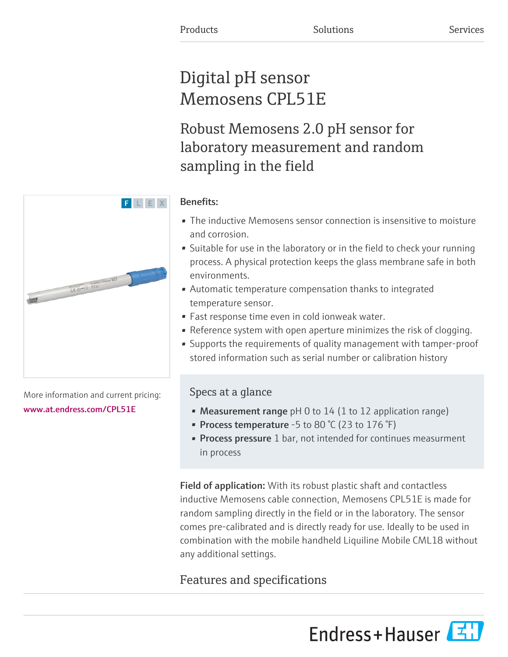# Digital pH sensor Memosens CPL51E

Robust Memosens 2.0 pH sensor for laboratory measurement and random sampling in the field

### Benefits:

- The inductive Memosens sensor connection is insensitive to moisture and corrosion.
- Suitable for use in the laboratory or in the field to check your running process. A physical protection keeps the glass membrane safe in both environments.
- Automatic temperature compensation thanks to integrated temperature sensor.
- Fast response time even in cold ionweak water.
- Reference system with open aperture minimizes the risk of clogging.
- Supports the requirements of quality management with tamper-proof stored information such as serial number or calibration history

## Specs at a glance

- Measurement range  $pH$  0 to 14 (1 to 12 application range)
- Process temperature -5 to 80  $\degree$ C (23 to 176  $\degree$ F)
- **Process pressure** 1 bar, not intended for continues measurment in process

Field of application: With its robust plastic shaft and contactless inductive Memosens cable connection, Memosens CPL51E is made for random sampling directly in the field or in the laboratory. The sensor comes pre-calibrated and is directly ready for use. Ideally to be used in combination with the mobile handheld Liquiline Mobile CML18 without any additional settings.

# Features and specifications

Endress+Hauser



More information and current pricing: [www.at.endress.com/CPL51E](https://www.at.endress.com/CPL51E)